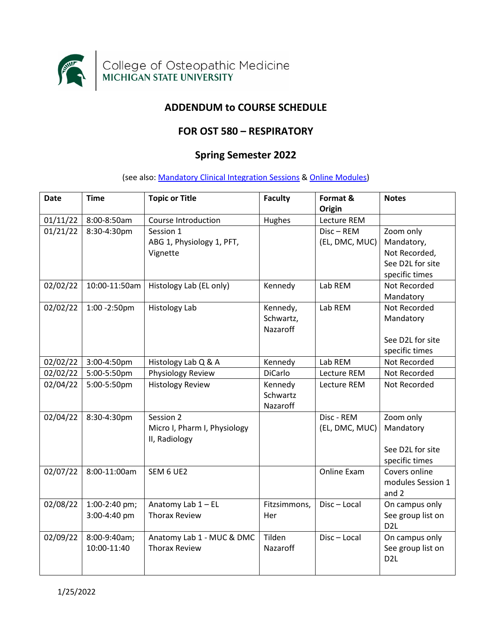

# **ADDENDUM to COURSE SCHEDULE**

## **FOR OST 580 – RESPIRATORY**

# **Spring Semester 2022**

(see also[: Mandatory Clinical Integration Sessions](#page-2-0) [& Online Modules\)](#page-4-0)

| <b>Date</b> | <b>Time</b>                   | <b>Topic or Title</b>                                      | <b>Faculty</b>                    | Format &<br>Origin             | <b>Notes</b>                                                                   |
|-------------|-------------------------------|------------------------------------------------------------|-----------------------------------|--------------------------------|--------------------------------------------------------------------------------|
| 01/11/22    | 8:00-8:50am                   | Course Introduction                                        | Hughes                            | Lecture REM                    |                                                                                |
| 01/21/22    | 8:30-4:30pm                   | Session 1<br>ABG 1, Physiology 1, PFT,<br>Vignette         |                                   | $Disc - REM$<br>(EL, DMC, MUC) | Zoom only<br>Mandatory,<br>Not Recorded,<br>See D2L for site<br>specific times |
| 02/02/22    | 10:00-11:50am                 | Histology Lab (EL only)                                    | Kennedy                           | Lab REM                        | Not Recorded<br>Mandatory                                                      |
| 02/02/22    | 1:00 - 2:50pm                 | <b>Histology Lab</b>                                       | Kennedy,<br>Schwartz,<br>Nazaroff | Lab REM                        | Not Recorded<br>Mandatory<br>See D2L for site<br>specific times                |
| 02/02/22    | 3:00-4:50pm                   | Histology Lab Q & A                                        | Kennedy                           | Lab REM                        | Not Recorded                                                                   |
| 02/02/22    | 5:00-5:50pm                   | Physiology Review                                          | <b>DiCarlo</b>                    | Lecture REM                    | Not Recorded                                                                   |
| 02/04/22    | 5:00-5:50pm                   | <b>Histology Review</b>                                    | Kennedy<br>Schwartz<br>Nazaroff   | Lecture REM                    | Not Recorded                                                                   |
| 02/04/22    | 8:30-4:30pm                   | Session 2<br>Micro I, Pharm I, Physiology<br>II, Radiology |                                   | Disc - REM<br>(EL, DMC, MUC)   | Zoom only<br>Mandatory<br>See D2L for site<br>specific times                   |
| 02/07/22    | 8:00-11:00am                  | SEM 6 UE2                                                  |                                   | <b>Online Exam</b>             | Covers online<br>modules Session 1<br>and 2                                    |
| 02/08/22    | 1:00-2:40 pm;<br>3:00-4:40 pm | Anatomy Lab 1 - EL<br><b>Thorax Review</b>                 | Fitzsimmons,<br>Her               | Disc-Local                     | On campus only<br>See group list on<br>D <sub>2</sub> L                        |
| 02/09/22    | 8:00-9:40am;<br>10:00-11:40   | Anatomy Lab 1 - MUC & DMC<br><b>Thorax Review</b>          | Tilden<br>Nazaroff                | Disc-Local                     | On campus only<br>See group list on<br>D <sub>2L</sub>                         |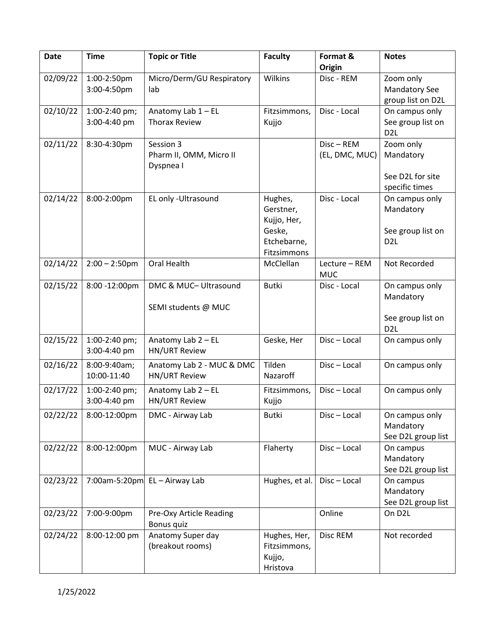| <b>Date</b> | <b>Time</b>      | <b>Topic or Title</b>           | <b>Faculty</b>             | Format &             | <b>Notes</b>                |
|-------------|------------------|---------------------------------|----------------------------|----------------------|-----------------------------|
| 02/09/22    | 1:00-2:50pm      | Micro/Derm/GU Respiratory       | Wilkins                    | Origin<br>Disc - REM | Zoom only                   |
|             | 3:00-4:50pm      | lab                             |                            |                      | <b>Mandatory See</b>        |
|             |                  |                                 |                            |                      | group list on D2L           |
| 02/10/22    | 1:00-2:40 pm;    | Anatomy Lab $1 - EL$            | Fitzsimmons,               | Disc - Local         | On campus only              |
|             | 3:00-4:40 pm     | <b>Thorax Review</b>            | Kujjo                      |                      | See group list on           |
|             |                  |                                 |                            |                      | D <sub>2</sub> L            |
| 02/11/22    | 8:30-4:30pm      | Session 3                       |                            | $Disc - REM$         | Zoom only                   |
|             |                  | Pharm II, OMM, Micro II         |                            | (EL, DMC, MUC)       | Mandatory                   |
|             |                  | Dyspnea I                       |                            |                      |                             |
|             |                  |                                 |                            |                      | See D2L for site            |
|             |                  |                                 |                            |                      | specific times              |
| 02/14/22    | 8:00-2:00pm      | EL only -Ultrasound             | Hughes,                    | Disc - Local         | On campus only              |
|             |                  |                                 | Gerstner,                  |                      | Mandatory                   |
|             |                  |                                 | Kujjo, Her,                |                      |                             |
|             |                  |                                 | Geske,                     |                      | See group list on           |
|             |                  |                                 | Etchebarne,<br>Fitzsimmons |                      | D <sub>2L</sub>             |
| 02/14/22    | $2:00 - 2:50$ pm | Oral Health                     | McClellan                  | Lecture - REM        | Not Recorded                |
|             |                  |                                 |                            | <b>MUC</b>           |                             |
| 02/15/22    | 8:00 -12:00pm    | DMC & MUC- Ultrasound           | <b>Butki</b>               | Disc - Local         | On campus only              |
|             |                  |                                 |                            |                      | Mandatory                   |
|             |                  | SEMI students @ MUC             |                            |                      |                             |
|             |                  |                                 |                            |                      | See group list on           |
|             |                  |                                 |                            |                      | D <sub>2</sub> L            |
| 02/15/22    | 1:00-2:40 pm;    | Anatomy Lab 2 - EL              | Geske, Her                 | Disc-Local           | On campus only              |
|             | 3:00-4:40 pm     | <b>HN/URT Review</b>            |                            |                      |                             |
| 02/16/22    | 8:00-9:40am;     | Anatomy Lab 2 - MUC & DMC       | Tilden                     | Disc-Local           | On campus only              |
|             | 10:00-11:40      | <b>HN/URT Review</b>            | Nazaroff                   |                      |                             |
| 02/17/22    | 1:00-2:40 pm;    | Anatomy Lab 2 - EL              | Fitzsimmons,               | Disc-Local           | On campus only              |
|             | 3:00-4:40 pm     | <b>HN/URT Review</b>            | Kujjo                      |                      |                             |
|             |                  |                                 |                            |                      |                             |
| 02/22/22    | 8:00-12:00pm     | DMC - Airway Lab                | <b>Butki</b>               | Disc-Local           | On campus only<br>Mandatory |
|             |                  |                                 |                            |                      | See D2L group list          |
| 02/22/22    | 8:00-12:00pm     | MUC - Airway Lab                | Flaherty                   | Disc-Local           | On campus                   |
|             |                  |                                 |                            |                      | Mandatory                   |
|             |                  |                                 |                            |                      | See D2L group list          |
| 02/23/22    |                  | 7:00am-5:20pm $EL - Airway Lab$ | Hughes, et al.             | Disc-Local           | On campus                   |
|             |                  |                                 |                            |                      | Mandatory                   |
|             |                  |                                 |                            |                      | See D2L group list          |
| 02/23/22    | 7:00-9:00pm      | Pre-Oxy Article Reading         |                            | Online               | On D2L                      |
|             |                  | Bonus quiz                      |                            |                      |                             |
| 02/24/22    | 8:00-12:00 pm    | Anatomy Super day               | Hughes, Her,               | Disc REM             | Not recorded                |
|             |                  | (breakout rooms)                | Fitzsimmons,               |                      |                             |
|             |                  |                                 | Kujjo,                     |                      |                             |
|             |                  |                                 | Hristova                   |                      |                             |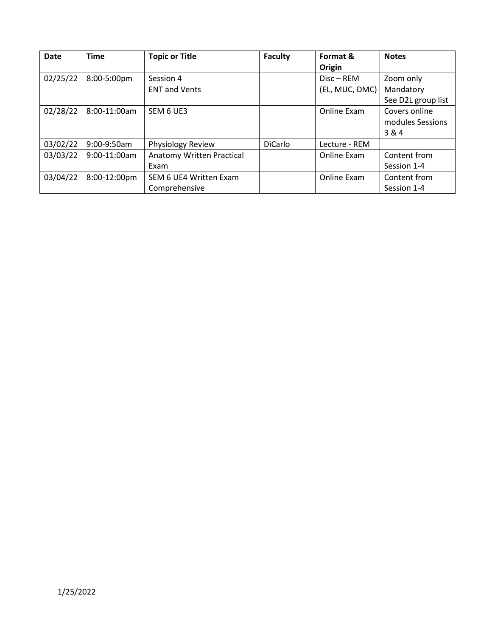<span id="page-2-0"></span>

| <b>Date</b> | <b>Time</b>  | <b>Topic or Title</b>                   | <b>Faculty</b> | Format &<br>Origin             | <b>Notes</b>                                 |
|-------------|--------------|-----------------------------------------|----------------|--------------------------------|----------------------------------------------|
| 02/25/22    | 8:00-5:00pm  | Session 4<br><b>ENT and Vents</b>       |                | $Disc - REM$<br>(EL, MUC, DMC) | Zoom only<br>Mandatory<br>See D2L group list |
| 02/28/22    | 8:00-11:00am | SEM 6 UE3                               |                | Online Exam                    | Covers online<br>modules Sessions<br>3 & 4   |
| 03/02/22    | 9:00-9:50am  | Physiology Review                       | <b>DiCarlo</b> | Lecture - REM                  |                                              |
| 03/03/22    | 9:00-11:00am | Anatomy Written Practical<br>Exam       |                | Online Exam                    | Content from<br>Session 1-4                  |
| 03/04/22    | 8:00-12:00pm | SEM 6 UE4 Written Exam<br>Comprehensive |                | Online Exam                    | Content from<br>Session 1-4                  |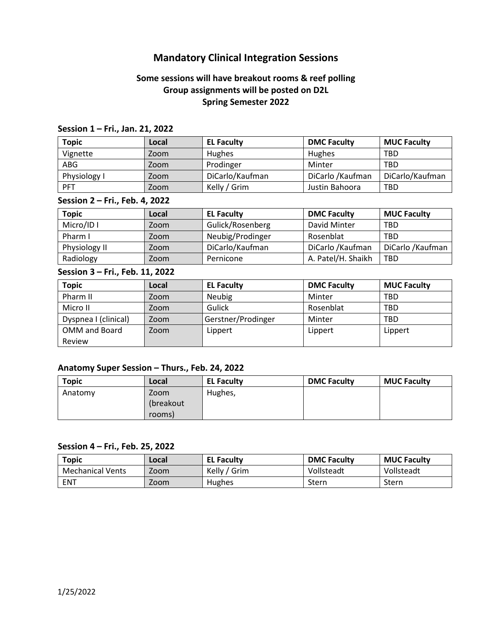# **Mandatory Clinical Integration Sessions**

## **Some sessions will have breakout rooms & reef polling Group assignments will be posted on D2L Spring Semester 2022**

### **Session 1 – Fri., Jan. 21, 2022**

| <b>Topic</b> | Local | <b>EL Faculty</b> | <b>DMC Faculty</b> | <b>MUC Faculty</b> |
|--------------|-------|-------------------|--------------------|--------------------|
| Vignette     | Zoom  | Hughes            | Hughes             | <b>TBD</b>         |
| ABG          | Zoom  | Prodinger         | Minter             | <b>TBD</b>         |
| Physiology I | Zoom  | DiCarlo/Kaufman   | DiCarlo / Kaufman  | DiCarlo/Kaufman    |
| <b>PFT</b>   | Zoom  | Kelly / Grim      | Justin Bahoora     | <b>TBD</b>         |

### **Session 2 – Fri., Feb. 4, 2022**

| <b>Topic</b>  | Local | <b>EL Faculty</b> | <b>DMC Faculty</b> | <b>MUC Faculty</b> |
|---------------|-------|-------------------|--------------------|--------------------|
| Micro/ID I    | Zoom  | Gulick/Rosenberg  | David Minter       | <b>TBD</b>         |
| Pharm I       | Zoom  | Neubig/Prodinger  | Rosenblat          | <b>TBD</b>         |
| Physiology II | Zoom  | DiCarlo/Kaufman   | DiCarlo / Kaufman  | DiCarlo / Kaufman  |
| Radiology     | Zoom  | Pernicone         | A. Patel/H. Shaikh | <b>TBD</b>         |

#### **Session 3 – Fri., Feb. 11, 2022**

| <b>Topic</b>         | Local | <b>EL Faculty</b>  | <b>DMC Faculty</b> | <b>MUC Faculty</b> |
|----------------------|-------|--------------------|--------------------|--------------------|
| Pharm II             | Zoom  | Neubig             | Minter             | <b>TBD</b>         |
| Micro II             | Zoom  | Gulick             | Rosenblat          | <b>TBD</b>         |
| Dyspnea I (clinical) | Zoom  | Gerstner/Prodinger | Minter             | <b>TBD</b>         |
| OMM and Board        | Zoom  | Lippert            | Lippert            | Lippert            |
| Review               |       |                    |                    |                    |

### **Anatomy Super Session – Thurs., Feb. 24, 2022**

| <b>Topic</b> | Local     | <b>EL Faculty</b> | <b>DMC Faculty</b> | <b>MUC Faculty</b> |
|--------------|-----------|-------------------|--------------------|--------------------|
| Anatomy      | Zoom      | Hughes,           |                    |                    |
|              | (breakout |                   |                    |                    |
|              | rooms)    |                   |                    |                    |

#### **Session 4 – Fri., Feb. 25, 2022**

| <b>Topic</b>            | .ocal | <b>EL Faculty</b> | <b>DMC Faculty</b> | <b>MUC Faculty</b> |
|-------------------------|-------|-------------------|--------------------|--------------------|
| <b>Mechanical Vents</b> | Zoom  | Kelly / Grim      | Vollsteadt         | Vollsteadt         |
| ENT                     | Zoom  | Hughes            | Stern              | Stern              |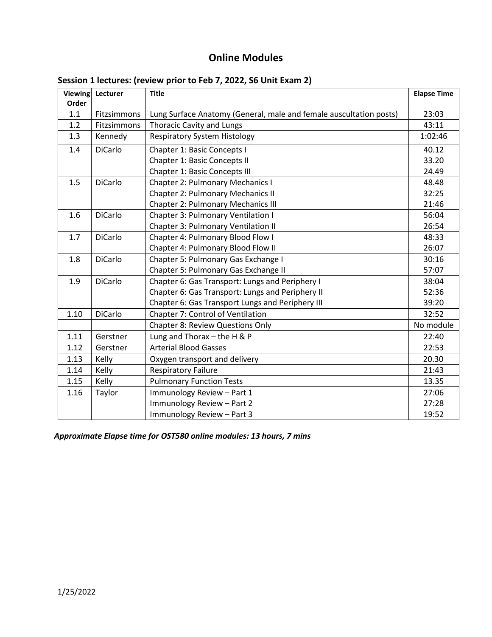# **Online Modules**

| Viewing | Lecturer       | <b>Title</b>                                                       | <b>Elapse Time</b> |
|---------|----------------|--------------------------------------------------------------------|--------------------|
| Order   |                |                                                                    |                    |
| 1.1     | Fitzsimmons    | Lung Surface Anatomy (General, male and female auscultation posts) | 23:03              |
| 1.2     | Fitzsimmons    | <b>Thoracic Cavity and Lungs</b>                                   | 43:11              |
| 1.3     | Kennedy        | <b>Respiratory System Histology</b>                                | 1:02:46            |
| 1.4     | <b>DiCarlo</b> | Chapter 1: Basic Concepts I                                        | 40.12              |
|         |                | Chapter 1: Basic Concepts II                                       | 33.20              |
|         |                | Chapter 1: Basic Concepts III                                      | 24.49              |
| 1.5     | <b>DiCarlo</b> | Chapter 2: Pulmonary Mechanics I                                   | 48.48              |
|         |                | <b>Chapter 2: Pulmonary Mechanics II</b>                           | 32:25              |
|         |                | <b>Chapter 2: Pulmonary Mechanics III</b>                          | 21:46              |
| 1.6     | <b>DiCarlo</b> | Chapter 3: Pulmonary Ventilation I                                 | 56:04              |
|         |                | Chapter 3: Pulmonary Ventilation II                                | 26:54              |
| 1.7     | DiCarlo        | Chapter 4: Pulmonary Blood Flow I                                  | 48:33              |
|         |                | Chapter 4: Pulmonary Blood Flow II                                 | 26:07              |
| 1.8     | <b>DiCarlo</b> | Chapter 5: Pulmonary Gas Exchange I                                | 30:16              |
|         |                | Chapter 5: Pulmonary Gas Exchange II                               | 57:07              |
| 1.9     | <b>DiCarlo</b> | Chapter 6: Gas Transport: Lungs and Periphery I                    | 38:04              |
|         |                | Chapter 6: Gas Transport: Lungs and Periphery II                   | 52:36              |
|         |                | Chapter 6: Gas Transport Lungs and Periphery III                   | 39:20              |
| 1.10    | DiCarlo        | Chapter 7: Control of Ventilation                                  | 32:52              |
|         |                | <b>Chapter 8: Review Questions Only</b>                            | No module          |
| 1.11    | Gerstner       | Lung and Thorax $-$ the H & P                                      | 22:40              |
| 1.12    | Gerstner       | <b>Arterial Blood Gasses</b>                                       | 22:53              |
| 1.13    | Kelly          | Oxygen transport and delivery                                      | 20.30              |
| 1.14    | Kelly          | <b>Respiratory Failure</b>                                         | 21:43              |
| 1.15    | Kelly          | <b>Pulmonary Function Tests</b>                                    | 13.35              |
| 1.16    | Taylor         | Immunology Review - Part 1                                         | 27:06              |
|         |                | Immunology Review - Part 2                                         | 27:28              |
|         |                | Immunology Review - Part 3                                         | 19:52              |

## <span id="page-4-0"></span>**Session 1 lectures: (review prior to Feb 7, 2022, S6 Unit Exam 2)**

*Approximate Elapse time for OST580 online modules: 13 hours, 7 mins*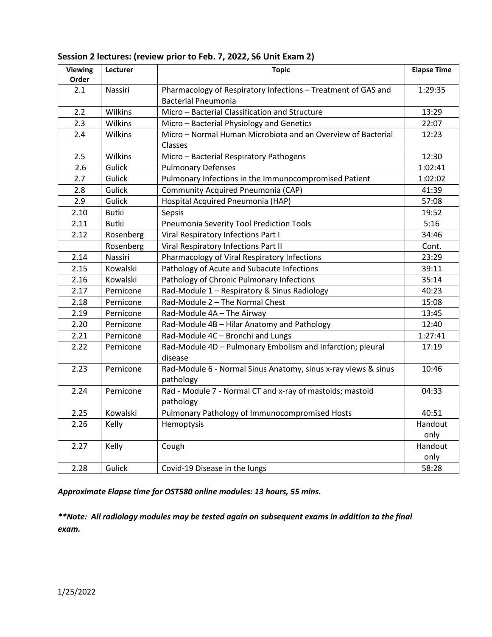| <b>Viewing</b><br>Order | Lecturer     | <b>Topic</b>                                                                                | <b>Elapse Time</b> |
|-------------------------|--------------|---------------------------------------------------------------------------------------------|--------------------|
| 2.1                     | Nassiri      | Pharmacology of Respiratory Infections - Treatment of GAS and<br><b>Bacterial Pneumonia</b> | 1:29:35            |
| 2.2                     | Wilkins      | Micro - Bacterial Classification and Structure                                              | 13:29              |
| 2.3                     | Wilkins      | Micro - Bacterial Physiology and Genetics                                                   | 22:07              |
| 2.4                     | Wilkins      | Micro - Normal Human Microbiota and an Overview of Bacterial<br>Classes                     | 12:23              |
| 2.5                     | Wilkins      | Micro - Bacterial Respiratory Pathogens                                                     | 12:30              |
| 2.6                     | Gulick       | <b>Pulmonary Defenses</b>                                                                   | 1:02:41            |
| 2.7                     | Gulick       | Pulmonary Infections in the Immunocompromised Patient                                       | 1:02:02            |
| 2.8                     | Gulick       | Community Acquired Pneumonia (CAP)                                                          | 41:39              |
| 2.9                     | Gulick       | Hospital Acquired Pneumonia (HAP)                                                           | 57:08              |
| 2.10                    | <b>Butki</b> | Sepsis                                                                                      | 19:52              |
| 2.11                    | <b>Butki</b> | Pneumonia Severity Tool Prediction Tools                                                    | 5:16               |
| 2.12                    | Rosenberg    | Viral Respiratory Infections Part I                                                         | 34:46              |
|                         | Rosenberg    | Viral Respiratory Infections Part II                                                        | Cont.              |
| 2.14                    | Nassiri      | Pharmacology of Viral Respiratory Infections                                                | 23:29              |
| 2.15                    | Kowalski     | Pathology of Acute and Subacute Infections                                                  | 39:11              |
| 2.16                    | Kowalski     | Pathology of Chronic Pulmonary Infections                                                   | 35:14              |
| 2.17                    | Pernicone    | Rad-Module 1 - Respiratory & Sinus Radiology                                                | 40:23              |
| 2.18                    | Pernicone    | Rad-Module 2 - The Normal Chest                                                             | 15:08              |
| 2.19                    | Pernicone    | Rad-Module 4A - The Airway                                                                  | 13:45              |
| 2.20                    | Pernicone    | Rad-Module 4B - Hilar Anatomy and Pathology                                                 | 12:40              |
| 2.21                    | Pernicone    | Rad-Module 4C - Bronchi and Lungs                                                           | 1:27:41            |
| 2.22                    | Pernicone    | Rad-Module 4D - Pulmonary Embolism and Infarction; pleural<br>disease                       | 17:19              |
| 2.23                    | Pernicone    | Rad-Module 6 - Normal Sinus Anatomy, sinus x-ray views & sinus<br>pathology                 | 10:46              |
| 2.24                    | Pernicone    | Rad - Module 7 - Normal CT and x-ray of mastoids; mastoid<br>pathology                      | 04:33              |
| 2.25                    | Kowalski     | Pulmonary Pathology of Immunocompromised Hosts                                              | 40:51              |
| 2.26                    | Kelly        | Hemoptysis                                                                                  | Handout<br>only    |
| 2.27                    | Kelly        | Cough                                                                                       | Handout<br>only    |
| 2.28                    | Gulick       | Covid-19 Disease in the lungs                                                               | 58:28              |

## **Session 2 lectures: (review prior to Feb. 7, 2022, S6 Unit Exam 2)**

*Approximate Elapse time for OST580 online modules: 13 hours, 55 mins.*

*\*\*Note: All radiology modules may be tested again on subsequent exams in addition to the final exam.*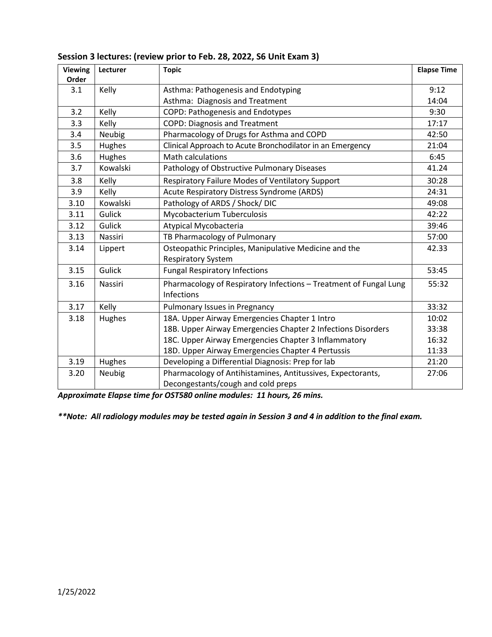| Viewing      | Lecturer | <b>Topic</b>                                                      | <b>Elapse Time</b> |
|--------------|----------|-------------------------------------------------------------------|--------------------|
| Order<br>3.1 | Kelly    | Asthma: Pathogenesis and Endotyping                               | 9:12               |
|              |          | Asthma: Diagnosis and Treatment                                   | 14:04              |
| 3.2          | Kelly    | COPD: Pathogenesis and Endotypes                                  | 9:30               |
| 3.3          | Kelly    | <b>COPD: Diagnosis and Treatment</b>                              | 17:17              |
| 3.4          | Neubig   | Pharmacology of Drugs for Asthma and COPD                         | 42:50              |
| 3.5          | Hughes   | Clinical Approach to Acute Bronchodilator in an Emergency         | 21:04              |
| 3.6          | Hughes   | <b>Math calculations</b>                                          | 6:45               |
| 3.7          | Kowalski | Pathology of Obstructive Pulmonary Diseases                       | 41.24              |
| 3.8          | Kelly    | Respiratory Failure Modes of Ventilatory Support                  | 30:28              |
| 3.9          | Kelly    | Acute Respiratory Distress Syndrome (ARDS)                        | 24:31              |
| 3.10         | Kowalski | Pathology of ARDS / Shock/DIC                                     | 49:08              |
| 3.11         | Gulick   | Mycobacterium Tuberculosis                                        | 42:22              |
| 3.12         | Gulick   | Atypical Mycobacteria                                             | 39:46              |
| 3.13         | Nassiri  | TB Pharmacology of Pulmonary                                      | 57:00              |
| 3.14         | Lippert  | Osteopathic Principles, Manipulative Medicine and the             | 42.33              |
|              |          | <b>Respiratory System</b>                                         |                    |
| 3.15         | Gulick   | <b>Fungal Respiratory Infections</b>                              | 53:45              |
| 3.16         | Nassiri  | Pharmacology of Respiratory Infections - Treatment of Fungal Lung | 55:32              |
|              |          | Infections                                                        |                    |
| 3.17         | Kelly    | Pulmonary Issues in Pregnancy                                     | 33:32              |
| 3.18         | Hughes   | 18A. Upper Airway Emergencies Chapter 1 Intro                     | 10:02              |
|              |          | 18B. Upper Airway Emergencies Chapter 2 Infections Disorders      | 33:38              |
|              |          | 18C. Upper Airway Emergencies Chapter 3 Inflammatory              | 16:32              |
|              |          | 18D. Upper Airway Emergencies Chapter 4 Pertussis                 | 11:33              |
| 3.19         | Hughes   | Developing a Differential Diagnosis: Prep for lab                 | 21:20              |
| 3.20         | Neubig   | Pharmacology of Antihistamines, Antitussives, Expectorants,       | 27:06              |
|              |          | Decongestants/cough and cold preps                                |                    |

### **Session 3 lectures: (review prior to Feb. 28, 2022, S6 Unit Exam 3)**

*Approximate Elapse time for OST580 online modules: 11 hours, 26 mins.*

*\*\*Note: All radiology modules may be tested again in Session 3 and 4 in addition to the final exam.*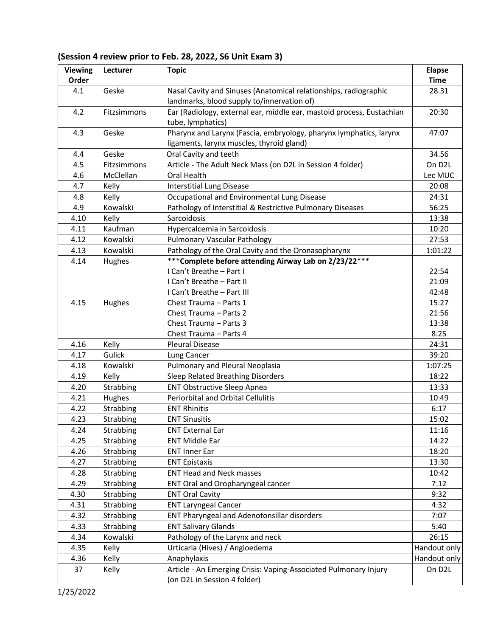| (Session 4 review prior to Feb. 28, 2022, S6 Unit Exam 3) |  |
|-----------------------------------------------------------|--|
|-----------------------------------------------------------|--|

| <b>Viewing</b> | Lecturer    | <b>Topic</b>                                                          | <b>Elapse</b>       |
|----------------|-------------|-----------------------------------------------------------------------|---------------------|
| Order          |             |                                                                       | <b>Time</b>         |
| 4.1            | Geske       | Nasal Cavity and Sinuses (Anatomical relationships, radiographic      | 28.31               |
|                |             | landmarks, blood supply to/innervation of)                            |                     |
| 4.2            | Fitzsimmons | Ear (Radiology, external ear, middle ear, mastoid process, Eustachian | 20:30               |
|                |             | tube, lymphatics)                                                     |                     |
| 4.3            | Geske       | Pharynx and Larynx (Fascia, embryology, pharynx lymphatics, larynx    | 47:07               |
|                |             | ligaments, larynx muscles, thyroid gland)                             |                     |
| 4.4            | Geske       | Oral Cavity and teeth                                                 | 34.56               |
| 4.5            | Fitzsimmons | Article - The Adult Neck Mass (on D2L in Session 4 folder)            | On D2L              |
| 4.6            | McClellan   | Oral Health                                                           | Lec MUC             |
| 4.7            | Kelly       | <b>Interstitial Lung Disease</b>                                      | 20:08               |
| 4.8            | Kelly       | Occupational and Environmental Lung Disease                           | 24:31               |
| 4.9            | Kowalski    | Pathology of Interstitial & Restrictive Pulmonary Diseases            | 56:25               |
| 4.10           | Kelly       | Sarcoidosis                                                           | 13:38               |
| 4.11           | Kaufman     | Hypercalcemia in Sarcoidosis                                          | 10:20               |
| 4.12           | Kowalski    | <b>Pulmonary Vascular Pathology</b>                                   | 27:53               |
| 4.13           | Kowalski    | Pathology of the Oral Cavity and the Oronasopharynx                   | 1:01:22             |
| 4.14           | Hughes      | *** Complete before attending Airway Lab on 2/23/22***                |                     |
|                |             | I Can't Breathe - Part I                                              | 22:54               |
|                |             | I Can't Breathe - Part II                                             | 21:09               |
|                |             | I Can't Breathe - Part III                                            | 42:48               |
| 4.15           | Hughes      | Chest Trauma - Parts 1                                                | 15:27               |
|                |             | Chest Trauma - Parts 2                                                | 21:56               |
|                |             | Chest Trauma - Parts 3                                                | 13:38               |
|                |             | Chest Trauma - Parts 4                                                | 8:25                |
| 4.16           | Kelly       | <b>Pleural Disease</b>                                                | 24:31               |
| 4.17           | Gulick      | Lung Cancer                                                           | 39:20               |
| 4.18           | Kowalski    | Pulmonary and Pleural Neoplasia                                       | 1:07:25             |
| 4.19           | Kelly       | Sleep Related Breathing Disorders                                     | 18:22               |
| 4.20           | Strabbing   | <b>ENT Obstructive Sleep Apnea</b>                                    | 13:33               |
| 4.21           | Hughes      | Periorbital and Orbital Cellulitis                                    | 10:49               |
| 4.22           | Strabbing   | <b>ENT Rhinitis</b>                                                   | 6:17                |
| 4.23           | Strabbing   | <b>ENT Sinusitis</b>                                                  | 15:02               |
| 4.24           | Strabbing   | <b>ENT External Ear</b>                                               | 11:16               |
| 4.25           | Strabbing   | <b>ENT Middle Ear</b>                                                 | 14:22               |
| 4.26           | Strabbing   | <b>ENT Inner Ear</b>                                                  | 18:20               |
| 4.27           | Strabbing   | <b>ENT Epistaxis</b>                                                  | 13:30               |
| 4.28           | Strabbing   | <b>ENT Head and Neck masses</b>                                       | 10:42               |
| 4.29           | Strabbing   | ENT Oral and Oropharyngeal cancer                                     | 7:12                |
| 4.30           | Strabbing   | <b>ENT Oral Cavity</b>                                                | 9:32                |
| 4.31           | Strabbing   | <b>ENT Laryngeal Cancer</b>                                           | 4:32                |
| 4.32           | Strabbing   | ENT Pharyngeal and Adenotonsillar disorders                           | 7:07                |
| 4.33           | Strabbing   | <b>ENT Salivary Glands</b>                                            | 5:40                |
| 4.34           | Kowalski    | Pathology of the Larynx and neck                                      | 26:15               |
| 4.35           | Kelly       | Urticaria (Hives) / Angioedema                                        | Handout only        |
| 4.36           | Kelly       | Anaphylaxis                                                           | Handout only        |
| 37             | Kelly       | Article - An Emerging Crisis: Vaping-Associated Pulmonary Injury      | On D <sub>2</sub> L |
|                |             | (on D2L in Session 4 folder)                                          |                     |